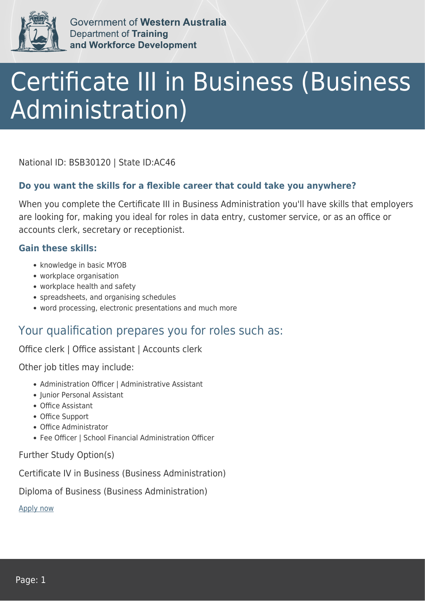

Government of Western Australia **Department of Training** and Workforce Development

# Certificate III in Business (Business Administration)

National ID: BSB30120 | State ID:AC46

#### **Do you want the skills for a flexible career that could take you anywhere?**

When you complete the Certificate III in Business Administration you'll have skills that employers are looking for, making you ideal for roles in data entry, customer service, or as an office or accounts clerk, secretary or receptionist.

#### **Gain these skills:**

- knowledge in basic MYOB
- workplace organisation
- workplace health and safety
- spreadsheets, and organising schedules
- word processing, electronic presentations and much more

### Your qualification prepares you for roles such as:

Office clerk | Office assistant | Accounts clerk

Other job titles may include:

- Administration Officer | Administrative Assistant
- Iunior Personal Assistant
- Office Assistant
- Office Support
- Office Administrator
- Fee Officer | School Financial Administration Officer

Further Study Option(s)

Certificate IV in Business (Business Administration)

Diploma of Business (Business Administration)

[Apply now](https://tasonline.tafe.wa.edu.au/Default.aspx)